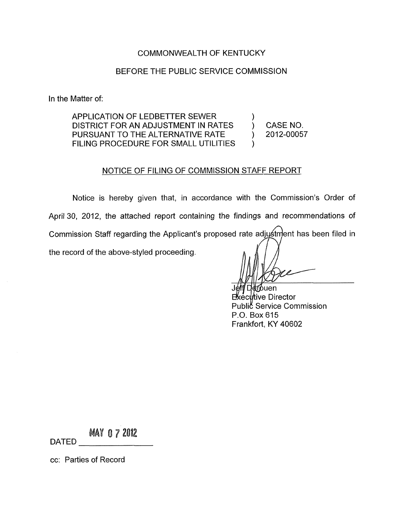# COMMONWEALTH OF KENTUCKY

# BEFORE THE PUBLIC SERVICE COMMISSION

In the Matter of:

APPLICATION OF LEDBETTER SEWER DISTRICT FOR AN ADJUSTMENT IN RATES (CASE NO.<br>PURSUANT TO THE ALTERNATIVE RATE (2012-00057) FILING PROCEDURE FOR SMALL UTILITIES PURSUANT TO THE ALTERNATIVE RATE

)

# NOTICE OF FILING OF COMMISSION STAFF REPORT

Notice is hereby given that, in accordance with the Commission's Order of April 30, 2012, the attached report containing the findings and recommendations of Commission Staff regarding the Applicant's proposed rate adjustment has been filed in the record of the above-styled proceeding.

≹ന്ouen kecl⁄rtive Director Public Service Commission P.O. Box 615 Frankfort, KY 40602

**MAY 0 7 2012** DATED

cc: Parties of Record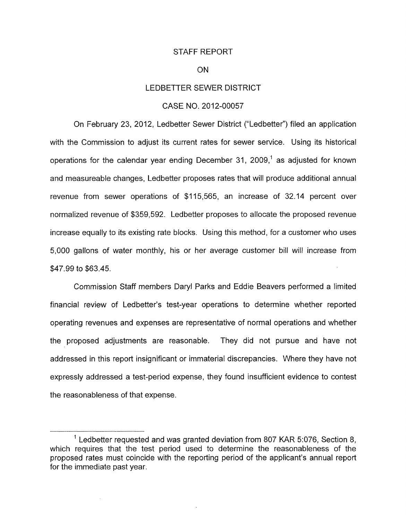## STAFF REPORT

### ON

# LEDBETTER SEWER DISTRICT

# CASE NO. 2012-00057

On February 23, 2012, Ledbetter Sewer District ("Ledbetter") filed an application with the Commission to adjust its current rates for sewer service. Using its historical operations for the calendar year ending December 31, 2009,<sup>1</sup> as adjusted for known and measureable changes, Ledbetter proposes rates that will produce additional annual revenue from sewer operations of \$115,565, an increase of 32.14 percent over normalized revenue of \$359,592. Ledbetter proposes to allocate the proposed revenue increase equally to its existing rate blocks. Using this method, for a customer who uses 5,000 gallons of water monthly, his or her average customer bill will increase from \$47.99 to \$63.45.

Commission Staff members Daryl Parks and Eddie Beavers performed a limited financial review of Ledbetter's test-year operations to determine whether reported operating revenues and expenses are representative of normal operations and whether the proposed adjustments are reasonable. They did not pursue and have not addressed in this report insignificant or immaterial discrepancies. Where they have not expressly addressed a test-period expense, they found insufficient evidence to contest the reasonableness of that expense.

 $1$  Ledbetter requested and was granted deviation from 807 KAR 5:076, Section 8, which requires that the test period used to determine the reasonableness of the proposed rates must coincide with the reporting period of the applicant's annual report for the immediate past year.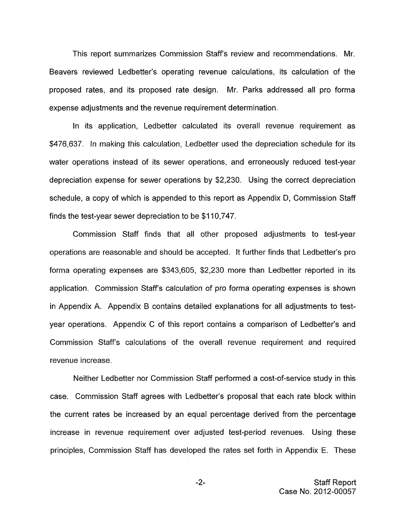This report summarizes Commission Staff's review and recommendations. Mr. Beavers reviewed Ledbetter's operating revenue calculations, its calculation of the proposed rates, and its proposed rate design. Mr. Parks addressed all pro forma expense adjustments and the revenue requirement determination.

In its application, Ledbetter calculated its overall revenue requirement as \$476,637. In making this calculation, Ledbetter used the depreciation schedule for its water operations instead of its sewer operations, and erroneously reduced test-year depreciation expense for sewer operations by \$2,230. Using the correct depreciation schedule, a copy of which is appended to this report as Appendix D, Commission Staff finds the test-year sewer depreciation to be \$1 10,747.

Commission Staff finds that all other proposed adjustments to test-year operations are reasonable and should be accepted. It further finds that Ledbetter's pro forma operating expenses are \$343,605, \$2,230 more than Ledbetter reported in its application. Commission Staffs calculation of pro forma operating expenses is shown in Appendix A. Appendix B contains detailed explanations for all adjustments to testyear operations. Appendix C of this report contains a comparison of Ledbetter's and Commission Staffs calculations of the overall revenue requirement and required revenue increase.

Neither Ledbetter nor Commission Staff performed a cost-of-service study in this case. Commission Staff agrees with Ledbetter's proposal that each rate block within the current rates be increased by an equal percentage derived from the percentage increase in revenue requirement over adjusted test-period revenues. Using these principles, Commission Staff has developed the rates set forth in Appendix E. These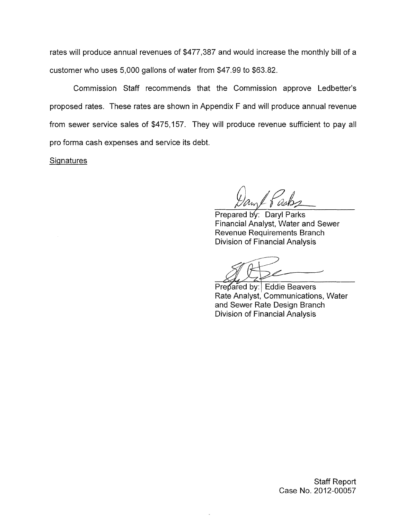rates will produce annual revenues of \$477,387 and would increase the monthly bill of a customer who uses 5,000 gallons of water from \$47.99 to \$63.82.

Commission Staff recommends that the Commission approve Ledbetter's proposed rates. These rates are shown in Appendix F and will produce annual revenue from sewer service sales of \$475,157. They will produce revenue sufficient to pay all pro forma cash expenses and service its debt.

Signatures

*A* 

Prepared by: Daryl Parks Financial Analyst, Water and Sewer Revenue Requirements Branch Division of Financial Analysis

Prepared by: Eddie Beavers Rate Analyst, Communications, Water and Sewer Rate Design Branch Division of Financial Analysis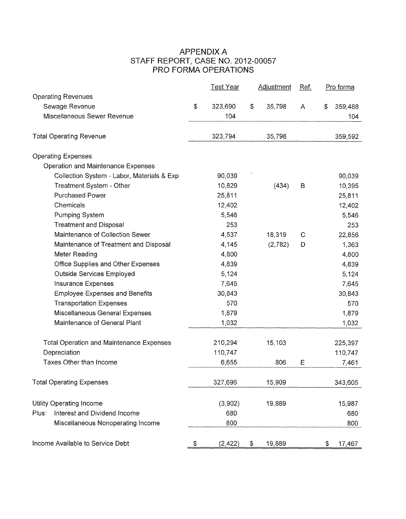# APPENDIX A PRO FORMA OPERATIONS STAFF REPORT, CASE NO. 2012-00057

|                                                 | <u>Test Year</u> | <b>Adjustment</b> | Ref.        | Pro forma     |
|-------------------------------------------------|------------------|-------------------|-------------|---------------|
| <b>Operating Revenues</b>                       |                  |                   |             |               |
| Sewage Revenue                                  | \$<br>323,690    | \$<br>35,798      | A           | \$<br>359,488 |
| Miscellaneous Sewer Revenue                     | 104              |                   |             | 104           |
| <b>Total Operating Revenue</b>                  | 323,794          | 35,798            |             | 359,592       |
| <b>Operating Expenses</b>                       |                  |                   |             |               |
| Operation and Maintenance Expenses              |                  |                   |             |               |
| Collection System - Labor, Materials & Exp      | 90,039           |                   |             | 90,039        |
| Treatment System - Other                        | 10,829           | (434)             | B           | 10,395        |
| <b>Purchased Power</b>                          | 25,811           |                   |             | 25,811        |
| Chemicals                                       | 12,402           |                   |             | 12,402        |
| Pumping System                                  | 5,546            |                   |             | 5,546         |
| <b>Treatment and Disposal</b>                   | 253              |                   |             | 253           |
| Maintenance of Collection Sewer                 | 4,537            | 18,319            | $\mathbf C$ | 22,856        |
| Maintenance of Treatment and Disposal           | 4,145            | (2,782)           | D           | 1,363         |
| Meter Reading                                   | 4,800            |                   |             | 4,800         |
| Office Supplies and Other Expenses              | 4,839            |                   |             | 4,839         |
| Outside Services Employed                       | 5,124            |                   |             | 5,124         |
| Insurance Expenses                              | 7,645            |                   |             | 7,645         |
| <b>Employee Expenses and Benefits</b>           | 30,843           |                   |             | 30,843        |
| <b>Transportation Expenses</b>                  | 570              |                   |             | 570           |
| Miscellaneous General Expenses                  | 1,879            |                   |             | 1,879         |
| Maintenance of General Plant                    | 1,032            |                   |             | 1,032         |
| <b>Total Operation and Maintenance Expenses</b> | 210,294          | 15,103            |             | 225,397       |
| Depreciation                                    | 110,747          |                   |             | 110,747       |
| Taxes Other than Income                         | 6,655            | 806               | E           | 7,461         |
| <b>Total Operating Expenses</b>                 | 327,696          | 15,909            |             | 343,605       |
|                                                 |                  |                   |             |               |
| <b>Utility Operating Income</b>                 | (3,902)          | 19,889            |             | 15,987        |
| Interest and Dividend Income<br>Plus:           | 680              |                   |             | 680           |
| Miscellaneous Nonoperating Income               | 800              |                   |             | 800           |
| Income Available to Service Debt                | \$<br>(2, 422)   | \$<br>19,889      |             | \$<br>17,467  |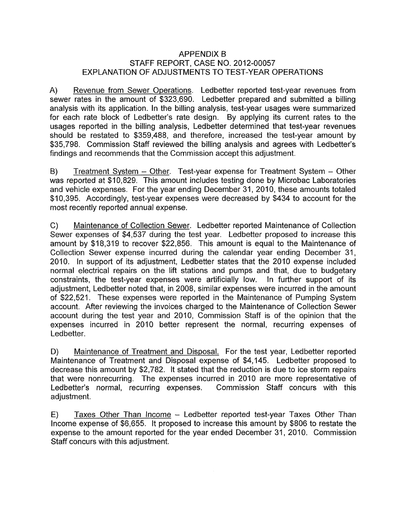# APPENDIX B STAFF REPORT, CASE NO. 2012-00057 EXPLANATION OF ADJUSTMENTS TO TEST-YEAR OPERATIONS

A) Revenue from Sewer Operations. Ledbetter reported test-year revenues from sewer rates in the amount of \$323,690. Ledbetter prepared and submitted a billing analysis with its application. In the billing analysis, test-year usages were summarized for each rate block of Ledbetter's rate design. By applying its current rates to the usages reported in the billing analysis, Ledbetter determined that test-year revenues should be restated to \$359,488, and therefore, increased the test-year amount by \$35,798. Commission Staff reviewed the billing analysis and agrees with Ledbetter's findings and recommends that the Commission accept this adjustment.

B) Treatment System - Other. Test-year expense for Treatment System - Other was reported at \$10,829. This amount includes testing done by Microbac Laboratories and vehicle expenses. For the year ending December 31, 2010, these amounts totaled \$10,395. Accordingly, test-year expenses were decreased by \$434 to account for the most recently reported annual expense.

C) Maintenance of Collection Sewer. Ledbetter reported Maintenance of Collection Sewer expenses of \$4,537 during the test year. Ledbetter proposed to increase this amount by \$18,319 to recover \$22,856. This amount is equal to the Maintenance of Collection Sewer expense incurred during the calendar year ending December 31, 2010. In support of its adjustment, Ledbetter states that the 2010 expense included normal electrical repairs on the lift stations and pumps and that, due to budgetary constraints, the test-year expenses were artificially low. In further support of its adjustment, Ledbetter noted that, in 2008, similar expenses were incurred in the amount of \$22,521. These expenses were reported in the Maintenance of Pumping System account. After reviewing the invoices charged to the Maintenance of Collection Sewer account during the test year and 2010, Commission Staff is of the opinion that the expenses incurred in 2010 better represent the normal, recurring expenses of Ledbetter.

D) Maintenance of Treatment and Disposal. For the test year, Ledbetter reported Maintenance of Treatment and Disposal expense of \$4,145. Ledbetter proposed to decrease this amount by \$2,782. It stated that the reduction is due to ice storm repairs that were nonrecurring. The expenses incurred in 2010 are more representative of Ledbetter's normal, recurring expenses. Commission Staff concurs with this adjustment.

E) Taxes Other Than Income – Ledbetter reported test-year Taxes Other Than Income expense of \$6,655. It proposed to increase this amount by \$806 to restate the expense to the amount reported for the year ended December 31, 2010. Commission Staff concurs with this adjustment.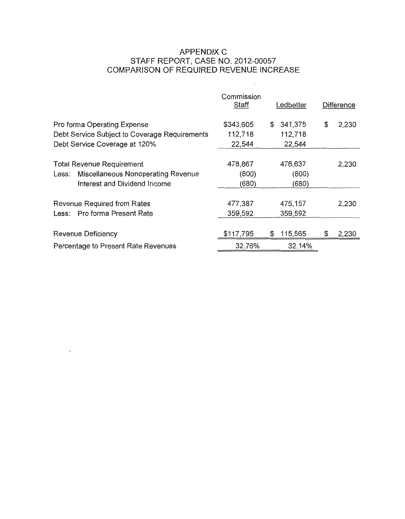# APPENDIX C COMPARISON OF REQUIRED REVENUE INCREASE STAFF REPORT, CASE NO. 2012-00057

 $\sim$ 

|                                               | Commission<br><b>Staff</b> | Ledbetter     | Difference  |
|-----------------------------------------------|----------------------------|---------------|-------------|
| Pro forma Operating Expense                   | \$343,605                  | 341,375<br>\$ | \$<br>2,230 |
| Debt Service Subject to Coverage Requirements | 112,718                    | 112,718       |             |
| Debt Service Coverage at 120%                 | 22,544                     | 22,544        |             |
| <b>Total Revenue Requirement</b>              | 478,867                    | 476,637       | 2,230       |
| Less: Miscellaneous Nonoperating Revenue      | (800)                      | (800)         |             |
| Interest and Dividend Income                  | (680)                      | (680)         |             |
| Revenue Required from Rates                   | 477,387                    | 475,157       | 2,230       |
| Less: Pro forma Present Rate                  | 359,592                    | 359,592       |             |
| Revenue Deficiency                            | \$117,795                  | \$<br>115,565 | \$<br>2,230 |
| Percentage to Present Rate Revenues           | 32.76%                     | 32.14%        |             |
|                                               |                            |               |             |

 $\sim$   $\sim$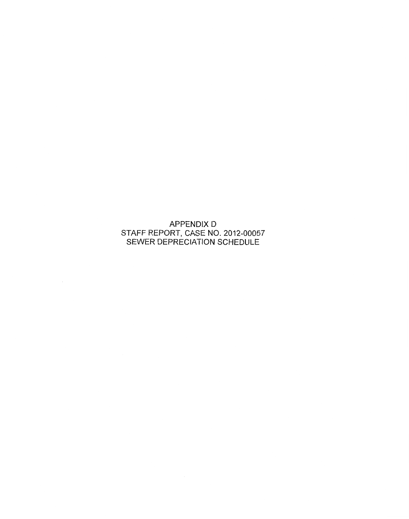APPENDIX D SEWER DEPRECIATION SCHEDULE STAFF REPORT, CASE NO. 2012-00057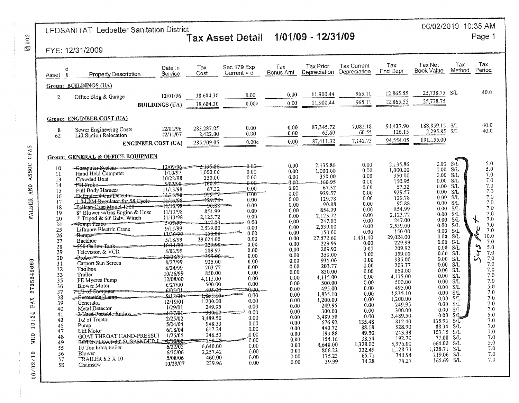# LEDSANITAT Ledbetter Sanitation District<br>Tax Asset Detail 1/01/09 - 12/31/09

# 06/02/2010 10:35 AM

Page 1

# FYE: 12/31/2009

| d<br>Asset                       | <b>Property Description</b>                                  | Date In<br>Service            | Тах<br>Cost                  | Sec 179 Exp<br>Current = $c$ | Tax<br>Bonus Amt | <b>Tax Prior</b><br>Depreciation | <b>Tax Current</b><br>Depreciation | Tax<br>End Depr      | <b>Tax Net</b><br><b>Book Value</b> | Tax<br>Method | Tax<br>Period         |
|----------------------------------|--------------------------------------------------------------|-------------------------------|------------------------------|------------------------------|------------------|----------------------------------|------------------------------------|----------------------|-------------------------------------|---------------|-----------------------|
|                                  | Group: BUILDINGS (UA)                                        |                               |                              |                              |                  |                                  |                                    |                      |                                     |               |                       |
| $\mathbf{2}$                     | Office Bldg & Garage                                         | 12/01/96                      | 38,604.30                    | 0.00                         | 0.00             | 11,900.44                        | 965.11                             | 12,865.55            | 25,738.75                           | -S/L          | 40.0                  |
|                                  |                                                              | <b>BUILDINGS (UA)</b>         | 38,604.30                    | 0.00c                        | 0.00             | 11,900.44                        | 965.11                             | 12,865.55            | 25,738.75                           |               |                       |
|                                  |                                                              |                               |                              |                              |                  |                                  |                                    |                      |                                     |               |                       |
|                                  | Group: ENGINEER COST (UA)                                    |                               |                              |                              |                  |                                  |                                    |                      |                                     |               |                       |
| 8                                | Sewer Engineering Costs                                      | 12/01/96                      | 283.287.05                   | 0.00                         | 0.00             | 87,345.72                        | 7.082.18<br>60.55                  | 94.427.90<br>126.15  | 188,859.15<br>2,295.85              | - S/L<br>SÆ.  | 40.0<br>40.0          |
| 62                               | <b>Lift Station Relocation</b>                               | 12/11/07                      | 2,422.00                     | 0.00                         | 0.00             | 65.60<br>87,411.32               | 7,142.73                           | 94,554.05            | 191,155.00                          |               |                       |
|                                  |                                                              | <b>ENGINEER COST (UA)</b>     | 285,709.05                   | 0.00c                        | 0.00             |                                  |                                    |                      |                                     |               |                       |
| Group: GENERAL & OFFICE EQUIPMEN |                                                              |                               |                              |                              |                  |                                  |                                    |                      |                                     |               |                       |
| 10                               | -Gomputer-System-                                            | 12/09/96                      | -135.86                      | $0.00 -$                     | 0.00             | 2.135.86                         | 0.00                               | 2,135.86<br>1,000.00 | 0.00<br>0.00                        | S/L<br>S/L    | 5.0<br>5.0            |
| 11                               | Hand Held Computer                                           | 1/10/97                       | 1,000.00<br>350.00           | 0.00<br>0.00                 | 0.00<br>0.00     | 1.000.00<br>350.00               | 0.00<br>0.00                       | 350.00               | $0.00 -$                            | S/L           | 7.0                   |
| 13<br>14                         | Crawdad Boat<br>$+H$ Probe-                                  | 10/22/98<br>5/07/98           | 160.95                       | صمم                          | 0.00             | 160.95                           | 0.00                               | 160.95               | 0.00                                | <b>S/L</b>    | 7.0                   |
| 15                               | Full Body Harness                                            | 11/13/98                      | 67.32                        | 0.00                         | 0.00             | 67.32                            | 0.00<br>0.00                       | 67.32<br>929.57      | 0.00<br>$0.00 -$                    | S/L<br>S/L    | 7.0<br>$7.0\,$        |
| 16                               | Lefender 4-Gus Detector-                                     | 1143/98                       | 929.57                       | $0.00^\circ$                 | 0.00<br>0.00     | 929.57<br>129.78                 | 0.00                               | 129.78               | 0.00                                | -S/L          | 7.0                   |
| 17                               | 10 LPM-Regulator for 58 Cycle                                | 11413/98                      | 129.78-                      | 0.00<br>0.00                 | 0.00             | 90.88                            | 0.00                               | 90.88                | 0.00                                | -S/L          | $7.0\,$               |
| 18                               | Pelican-Case-Model-1520-                                     | - <b>11713798</b><br>11/13/98 | 854.99                       | 0.00                         | 0.00             | 854.99                           | 0.00                               | 854.99               | 0.00 <sub>1</sub>                   | S/L           | 7.0                   |
| 19<br>20                         | 8" Blower w/Gas Engine & Hose<br>7' Tripod & 60' Galv. Winch | 11/13/98                      | 2,123.72                     | 0.00                         | 0.00             | 2.123.72                         | 0.00                               | 2,123.72             | 0.00                                | S/L           | 7.0                   |
| 24                               | -Femp-Probe-                                                 | -5107198-                     | 247.00                       | 0.00                         | 0.00             | 247.00                           | 0.00                               | 247.00               | 0.00<br>0.00                        | SÆ.<br>S/L    | 7,0<br>y.<br>7.0      |
| 25                               | Liftmore Electric Crane                                      | 9/15/99                       | 2,539.00                     | 0.00                         | 0.00             | 2,539.00                         | 0.00<br>0.00                       | 2.539.00<br>150.00   | 0.00                                | S/L           | 7.0                   |
| 26                               | Remos                                                        | 11/30/99                      | <del>150.00</del>            | 0.00                         | 0.00             | 150.00<br>27.572.60              | 1.451.40                           | 29,024.00            | 0.00                                | SL            | 10.0                  |
| 27                               | Backhoe                                                      | 5/18/99                       | 29,024.00<br>-229.99 =       | 0.00<br>0.00                 | 0.00<br>0.00     | 229.99                           | 0.00                               | 229.99               | $0.00 -$                            | S/L           | 7.0                   |
| 28                               | <del>, 550 Gallon Tank -</del>                               | 10/11/99<br>8/03/99           | 209.92                       | 0.00                         | 0.00             | 209.92                           | 0.00                               | 209.92               | 0.00                                | S/L           | ৸<br>5.0              |
| 29<br>30                         | Television & VCR<br>$-$ Prabe $=$                            | 2/08/99                       | <del>359.00 - J</del>        | 0.00                         | 0.00             | 359.00                           | 0.00                               | 359.00               | 0.00                                | S/L           | $\mathfrak{z}$<br>7.0 |
| 31                               | Carport Sun Screen                                           | 8/27/99                       | 935.00                       | 0.00                         | 0.00             | 935.00                           | 0.00                               | 935.00               | $0.00 -$                            | -S/L<br>S/L   | 7.0<br>Lή<br>7.0      |
| 32                               | Toolbox                                                      | 6/24/99                       | 203.77                       | 0.00                         | 0.00             | 203.77                           | 0.00                               | 203.77<br>850.00     | 0.00.<br>0.00                       | S/L           | $7.0\,$               |
| 33                               | Trailer                                                      | 10/26/99                      | 850.00                       | 0.00                         | 0.00             | 850.00<br>4.115.00               | 0.00<br>0.00                       | 4,115.00             | 0.00                                | S/L           | 7.0                   |
| 35                               | FE Mveres Pump                                               | 12/08/00                      | 4,115.00                     | 0.00                         | 0.00<br>0.00     | 500.00                           | 0.00                               | 500.00               | 0.00.                               | SЛ            | 7.0                   |
| 36                               | <b>Blower Motor</b>                                          | 6/27/00<br>6405/01            | 500.00<br>495 <del>.00</del> | 0.00<br>-0.00.               | 0.00             | 495.00                           | 0.00                               | 495.00               | $0.00 -$                            | S/L           | 5.0                   |
| 37                               | <del>л 19-оf Сонтри</del> тет                                | 9/18/01                       | 1,835.10-                    | 0.00                         | 0.00             | 1,835.10                         | 0.00                               | 1,835.10             | 0.00.                               | S/L           | 7.0                   |
| 38<br>39                         | -Germieidal-Lamp-<br>Generator                               | 12/19/01                      | 1.200.00                     | 0.00                         | 0.00             | 1,200.00                         | 0.00                               | 1,200.00             | $0.00 -$                            | SÆ.           | 7.0                   |
| 40                               | Metal Detector                                               | 1/29/01                       | 249.95                       | 0.00                         | 0.00             | 249.95                           | 0.00                               | 249.95               | 0.00<br>0.00                        | S/L<br>S/L    | 7.0<br>7.0            |
| 41                               | 2-Heed-Portable-Radios                                       | 4/17/01                       | <del>30</del> 0:00-          | 0.00                         | 0.00             | 300.00                           | 0.00                               | 300.00<br>3,489.50   | 0.00                                | SÆ            | 5.0                   |
| 42                               | 1/2 of Tractor                                               | 2/25/02                       | 3,489.50                     | 0.00                         | 0.00             | 3,489.50<br>676.92               | 0.00<br>135.48                     | 812.40               | 135.93                              | -S/C          | 7.0                   |
| 46                               | Pump                                                         | 5/04/04                       | 948.33                       | 0.00                         | 0.00<br>0.00     | 440.72                           | 88.18                              | 528.90               | 88.34                               | S/L           | 7.0                   |
| 47                               | Lift Motor                                                   | 6/18/04                       | 617.24<br>346.53             | 0.00<br>0.00                 | 0.00             | 193.88                           | 49.50                              | 243.38               | 103.15                              | -S/L          | 7.0                   |
| 48                               | GOAT THROAT HAND-PRESSUI<br>ROFO-FEOAT-30-SUSPENDED L >      | 1/25/05<br>1710/05            | 960.IL                       | 0.00                         | 0.00             | 154.16                           | 38.54                              | 192.70               | 77.08                               | -S/L          | 7.0                   |
| 49<br>55                         | 10 Ton hitch trailer                                         | 6/22/05                       | 6,640.00                     | 0.00                         | 0.00             | 4,648.00                         | 1,328.00                           | 5,976.00             | 664.00                              | -S/L          | 5.0<br>7.0            |
| 56                               | Blower                                                       | 6/30/06                       | 2.257.42                     | 0.00                         | 0.00             | 806.22                           | 322.49                             | 1,128.71             | 1,128.71 S/L                        | -S/L          | $7.0\,$               |
| 57                               | <b>TRAILER 6.5 X 10</b>                                      | 5/08/06                       | 460.00                       | 0.00                         | 0.00             | 175.23                           | 65.71                              | 240.94               | 219.06<br>165.69 S/L                |               | 7.0                   |
| 58                               | Chainsaw                                                     | 10/29/07                      | 239.96                       | 0.00                         | 0.00             | 39.99                            | 34.28                              | 74.27                |                                     |               |                       |

図002

# WALKER AND ASSOC CPAS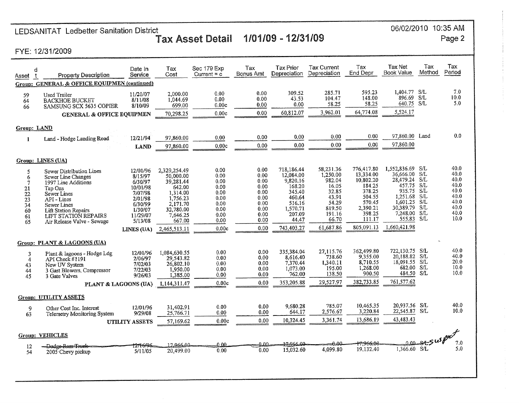# LEDSANITAT Ledbetter Sanitation District<br>Tax Asset Detail 1/01/09 - 12/31/09

06/02/2010 10:35 AM Page 2

FYE: 12/31/2009

| Asset<br>Group:                                            | d<br><b>Property Description</b><br><b>GENERAL &amp; OFFICE EQUIPMEN (continued)</b>                                                                                                                             | Date In<br>Service                                                                                                          | Tax<br>Cost                                                                                                                             | Sec 179 Exp<br>Current $= c$                                                          | Tax<br>Bonus Amt                                                                     | <b>Tax Prior</b><br>Depreciation                                                                                         | <b>Tax Current</b><br>Depreciation                                                                            | Tax<br><b>End Depr</b>                                                                                                     | Tax Net<br><b>Book Value</b>                                                                                                                              | Tax<br>Method                       | Tax<br>Period                                                                |
|------------------------------------------------------------|------------------------------------------------------------------------------------------------------------------------------------------------------------------------------------------------------------------|-----------------------------------------------------------------------------------------------------------------------------|-----------------------------------------------------------------------------------------------------------------------------------------|---------------------------------------------------------------------------------------|--------------------------------------------------------------------------------------|--------------------------------------------------------------------------------------------------------------------------|---------------------------------------------------------------------------------------------------------------|----------------------------------------------------------------------------------------------------------------------------|-----------------------------------------------------------------------------------------------------------------------------------------------------------|-------------------------------------|------------------------------------------------------------------------------|
| 59<br>64<br>66                                             | <b>Used Trailer</b><br><b>BACKHOE BUCKET</b><br>SAMSUNG SCX 5635 COPIER                                                                                                                                          | 11/20/07<br>8/11/08<br>8/10/09                                                                                              | 2,000.00<br>1.044.69<br>699.00                                                                                                          | 0.00<br>0.00<br>0.00c                                                                 | 0.00<br>0.00<br>0.00                                                                 | 309.52<br>43.53<br>0.00                                                                                                  | 285.71<br>104.47<br>58.25                                                                                     | 595.23<br>148.00<br>58.25<br>64,774.08                                                                                     | 1,404.77<br>896.69<br>640.75<br>5,524.17                                                                                                                  | SÆ<br>-S/L<br>S/L                   | 7.0<br>10.0<br>5.0                                                           |
|                                                            | <b>GENERAL &amp; OFFICE EQUIPMEN</b>                                                                                                                                                                             |                                                                                                                             | 70,298.25                                                                                                                               | 0.00c                                                                                 | 0.00                                                                                 | 60,812.07                                                                                                                | 3,962.01                                                                                                      |                                                                                                                            |                                                                                                                                                           |                                     |                                                                              |
| Group: LAND                                                |                                                                                                                                                                                                                  |                                                                                                                             |                                                                                                                                         |                                                                                       |                                                                                      |                                                                                                                          |                                                                                                               |                                                                                                                            |                                                                                                                                                           |                                     |                                                                              |
| $\mathbf{1}$                                               | Land - Hodge Landing Road                                                                                                                                                                                        | 12/21/94                                                                                                                    | 97,860.00                                                                                                                               | 0.00                                                                                  | 0.00                                                                                 | 0.00                                                                                                                     | 0.00                                                                                                          | 0.00                                                                                                                       | 97,860.00                                                                                                                                                 | Land                                | 0.0                                                                          |
|                                                            |                                                                                                                                                                                                                  | LAND                                                                                                                        | 97,860.00                                                                                                                               | 0.00c                                                                                 | 0.00                                                                                 | 0.00                                                                                                                     | 0.00                                                                                                          | 0.00                                                                                                                       | 97,860.00                                                                                                                                                 |                                     |                                                                              |
|                                                            | Group: LINES (UA)                                                                                                                                                                                                |                                                                                                                             |                                                                                                                                         |                                                                                       |                                                                                      |                                                                                                                          |                                                                                                               |                                                                                                                            |                                                                                                                                                           |                                     |                                                                              |
| 5<br>6<br>$\tau$<br>21<br>22<br>23<br>34<br>60<br>61<br>65 | Sewer Distribution Lines<br>Sewer Line Changes<br>1997 Line Additions<br>Tap Ons<br>Sewer Lines<br>API-Lines<br>Sewer Lines<br><b>Lift Station Repairs</b><br>LIFT STATION REPAIRS<br>Air Release Valve - Sewage | 12/01/96<br>8/15/97<br>6/30/97<br>10/01/98<br>7/07/98<br>2/01/98<br>6/30/99<br>1/30/07<br>11/29/07<br>5/13/08<br>LINES (UA) | 2,329,254.49<br>50.000.00<br>39,281.44<br>642.00<br>1,314.00<br>1.756.23<br>2,171.70<br>32,780.00<br>7.646.25<br>667.00<br>2,465,513.11 | 0.00<br>0.00<br>0.00<br>0.00<br>0.00<br>0.00<br>0.00<br>0.00<br>0.00<br>0.00<br>0.00c | 0.00<br>0.00<br>0.00<br>0.00<br>0.00<br>0.00<br>0.00<br>0.00<br>0.00<br>0.00<br>0,00 | 718.186.44<br>12.084.00<br>9,820.16<br>168.20<br>345.40<br>460.64<br>516.16<br>1,570.71<br>207.09<br>44.47<br>743,403.27 | 58.231.36<br>1,250.00<br>982.04<br>16.05<br>32.85<br>43.91<br>54.29<br>819.50<br>191.16<br>66.70<br>61.687.86 | 776,417.80<br>13,334.00<br>10.802.20<br>184.25<br>378.25<br>504.55<br>570.45<br>2,390.21<br>398.25<br>111.17<br>805,091.13 | 1.552,836.69<br>36,666.00 S/L<br>28,479.24 S/L<br>457.75<br>935.75 S/L<br>1,251.68 S/L<br>1,601.25<br>30,389.79<br>7,248.00 S/L<br>555.83<br>1,660,421.98 | - S/L<br>-S/L<br>S/L<br>-S/L<br>S/L | 40.0<br>40.0<br>40.0<br>40.0<br>40.0<br>40.0<br>40.0<br>40.0<br>40.0<br>10.0 |
|                                                            | Group: PLANT & LAGOONS (UA)                                                                                                                                                                                      |                                                                                                                             |                                                                                                                                         |                                                                                       |                                                                                      |                                                                                                                          |                                                                                                               |                                                                                                                            |                                                                                                                                                           |                                     | 40.0                                                                         |
| 3<br>$\overline{4}$<br>43<br>44<br>45                      | Plant & lagoons - Hodge Ldg<br>API Check $\#1191$<br>New UV System<br>3 Gast Blowers, Compressor<br>3 Gate Valves<br>PLANT & LAGOONS (UA)                                                                        | 12/01/96<br>2/06/97<br>7/02/03<br>7/22/03<br>9/26/03                                                                        | 1.084,630.55<br>29.543.82<br>26.802.10<br>1,950.00<br>1,385.00<br>1,144,311.47                                                          | 0.00<br>0.00<br>0.00<br>0.00<br>0.00<br>0.00c                                         | 0.00<br>0.00<br>0.00<br>0.00<br>0.00<br>0.00                                         | 335.384.04<br>8.616.40<br>7.370.44<br>1.073.00<br>762.00<br>353,205.88                                                   | 27,115.76<br>738.60<br>1.340.11<br>195.00<br>138.50<br>29,527.97                                              | 362,499.80<br>9,355.00<br>8.710.55<br>1.268.00<br>900.50<br>382,733.85                                                     | 722.130.75<br>20,188.82<br>18.091.55<br>682.00 S/L<br>484.50 S/L<br>761,577.62                                                                            | -S/L<br>S/L<br>S/L                  | 40.0<br>20.0<br>10.0<br>10.0                                                 |
| <b>Group: UTILITY ASSETS</b>                               |                                                                                                                                                                                                                  |                                                                                                                             |                                                                                                                                         |                                                                                       |                                                                                      |                                                                                                                          |                                                                                                               |                                                                                                                            |                                                                                                                                                           |                                     |                                                                              |
| 9<br>63                                                    | Other Cost Inc. Interest<br><b>Telemetry Monitoring System</b>                                                                                                                                                   | 12/01/96<br>9/29/08<br><b>UTILITY ASSETS</b>                                                                                | 31,402.91<br>25,766.71<br>57,169.62                                                                                                     | 0.00<br>0.00<br>0.00c                                                                 | 0.00<br>0.00<br>0.00                                                                 | 9.680.28<br>644.17<br>10,324.45                                                                                          | 785.07<br>2,576.67<br>3.361.74                                                                                | 10,465.35<br>3,220.84<br>13,686.19                                                                                         | 20,937.56 S/L<br>22,545.87 S/L<br>43,483.43                                                                                                               |                                     | 40.0<br>10.0                                                                 |
| Group: VEHICLES<br>SASUSPOC                                |                                                                                                                                                                                                                  |                                                                                                                             |                                                                                                                                         |                                                                                       |                                                                                      |                                                                                                                          |                                                                                                               |                                                                                                                            |                                                                                                                                                           |                                     |                                                                              |
| 12<br>54                                                   | -Dodge-Ram-Truele<br>2005 Chevy pickup                                                                                                                                                                           | 12116/96<br>5/11/05                                                                                                         | 17.966.00<br>20,499.00                                                                                                                  | <u>ብ በበ</u><br>0.00                                                                   | 0.00.<br>0.00                                                                        | 17.966.00<br>15,032.60                                                                                                   | $-0.09$<br>4,099.80                                                                                           | 17:966:00<br>19,132.40                                                                                                     | 0.00.<br>1,366.60 S/L                                                                                                                                     |                                     | 7.0<br>5.0                                                                   |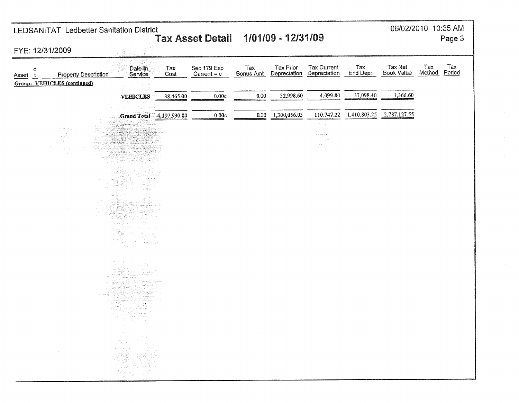| 06/02/2010 10:35 AM<br>LEDSANITAT Ledbetter Sanitation District<br>Tax Asset Detail 1/01/09 - 12/31/09                       |                                                                                                                                                                                                                                                                                                                                                                                                           |             |                                    |                  |                           |                                    |                 |                              | Page 3                         |
|------------------------------------------------------------------------------------------------------------------------------|-----------------------------------------------------------------------------------------------------------------------------------------------------------------------------------------------------------------------------------------------------------------------------------------------------------------------------------------------------------------------------------------------------------|-------------|------------------------------------|------------------|---------------------------|------------------------------------|-----------------|------------------------------|--------------------------------|
| FYE: 12/31/2009                                                                                                              |                                                                                                                                                                                                                                                                                                                                                                                                           |             |                                    |                  |                           |                                    |                 |                              |                                |
| d<br><b>Property Description</b><br>Asset t<br><b>Group: VEHICLES (continued)</b>                                            | Date In<br>Service                                                                                                                                                                                                                                                                                                                                                                                        | Tax<br>Cost | Sec 179 Exp<br>Current = $\dot{c}$ | Tax<br>Bonus Amt | Tax Prior<br>Depreciation | <b>Tax Current</b><br>Depreciation | Tax<br>End Depr | Tax Net<br><b>Book Value</b> | Tax<br>Tax<br>Method<br>Period |
|                                                                                                                              | <b>VEHICLES</b>                                                                                                                                                                                                                                                                                                                                                                                           | 38,465.00   | 0.00c                              | 0.00             | 32,998.60                 | 4,099.80                           | 37,098.40       | 1,366.60                     |                                |
|                                                                                                                              | أأتألأ كالإيتماء للانتقاء<br>مناصبه ورازوني                                                                                                                                                                                                                                                                                                                                                               |             |                                    |                  |                           |                                    |                 |                              |                                |
|                                                                                                                              | Grand Total 4,197,930.80                                                                                                                                                                                                                                                                                                                                                                                  |             | 0.00c                              | 0.00             | 1,300,056.03              | 110,747.22                         | 1,410,803.25    | 2,787,127.55                 |                                |
| $\alpha \in \mathbb{R}^n \times \mathbb{R}^2 \times \mathbb{R}^n$ .<br>u gadi<br>e elektrojn.<br>Geografia<br>وتنقط<br>in 20 | كمشت                                                                                                                                                                                                                                                                                                                                                                                                      |             |                                    |                  |                           | i in trêt                          |                 |                              |                                |
|                                                                                                                              | aran<br>Prantsi<br>uran.<br>Municipalit<br>zul i dese bi<br>THE R<br>$\begin{pmatrix} \frac{\partial \mathcal{L}}{\partial x} & \frac{\partial \mathcal{L}}{\partial y} & \frac{\partial \mathcal{L}}{\partial x} \\ \frac{\partial \mathcal{L}}{\partial x} & \frac{\partial \mathcal{L}}{\partial y} & \frac{\partial \mathcal{L}}{\partial y} & \frac{\partial \mathcal{L}}{\partial y} \end{pmatrix}$ |             |                                    |                  |                           |                                    |                 |                              |                                |
| $\mathcal{H}_{\rm{c}}$<br>$\sim$                                                                                             | mene za p<br>ka proto<br>and the peak<br>ನ ಯು<br>1294<br>Alian America<br>Alianda Mario<br><b>常常的</b> 等。                                                                                                                                                                                                                                                                                                  |             |                                    |                  |                           |                                    |                 |                              |                                |
|                                                                                                                              | regini).<br>والأولاء<br>alang pa<br>والمتراخ المريضين والمراد<br>కటాగ్ని సరించాల<br>بالدام كالكرافيل<br>2022.<br>대원 그는<br>NY MAT<br>anto<br>Refer<br>للمهاجبين<br>부었다<br>in Siberio<br>1973 - Paris<br>-72<br>with power that is<br>1991년 1999년 동<br>ania (Carolina)<br>Colorado<br>$\Delta \sim 10^{-1}$<br>$\alpha$ , $\alpha$ , $\beta$ , $\beta$                                                      |             |                                    |                  |                           |                                    |                 |                              |                                |
| $\sim 10^{-1}$                                                                                                               | 정부 중에                                                                                                                                                                                                                                                                                                                                                                                                     |             |                                    |                  |                           |                                    |                 |                              |                                |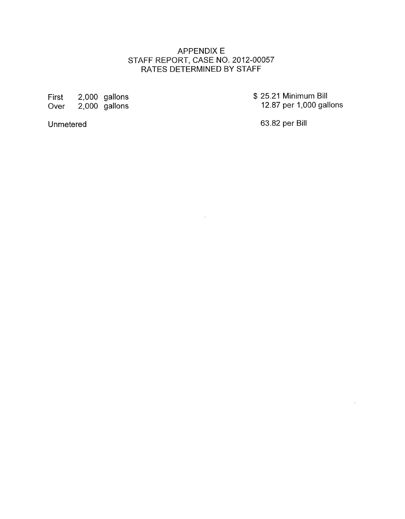# APPENDIX E RATES DETERMINED BY STAFF STAFF REPORT, CASE NO. 2012-00057

 $\sim$   $\epsilon$ 

First 2,000 gallons Over 2,000 gallons \$ 25.21 Minimum Bill 12.87 per 1,000 gallons

à.

**Unmetered** 

63.82 per Bill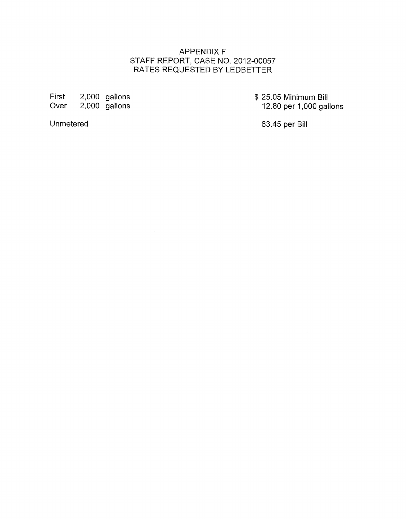# APPENDIX F RATES REQUESTED BY LEDBETTER STAFF REPORT, CASE NO. 2012-00057

 $\sim$   $\sim$ 

First 2,000 gallons<br>Over 2,000 gallons  $2,000$  gallons \$ 25.05 Minimum Bill 12.80 per 1,000 gallons

**Unmetered** 

63.45 per Bill